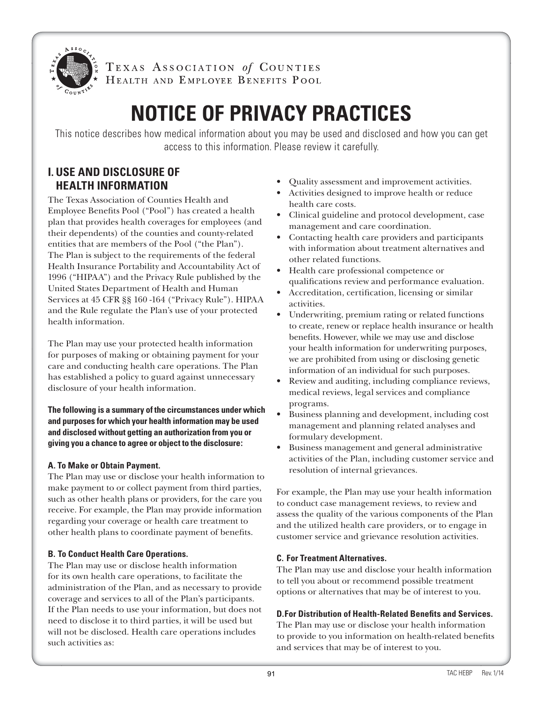

TEXAS ASSOCIATION of COUNTIES HEALTH AND EMPLOYEE BENEFITS POOL

# **NOTICE OF PRIVACY PRACTICES**

This notice describes how medical information about you may be used and disclosed and how you can get access to this information. Please review it carefully.

# **I. USE AND DISCLOSURE OF HEALTH INFORMATION**

The Texas Association of Counties Health and Employee Benefits Pool ("Pool") has created a health plan that provides health coverages for employees (and their dependents) of the counties and county-related entities that are members of the Pool ("the Plan"). The Plan is subject to the requirements of the federal Health Insurance Portability and Accountability Act of 1996 ("HIPAA") and the Privacy Rule published by the United States Department of Health and Human Services at 45 CFR §§ 160 -164 ("Privacy Rule"). HIPAA and the Rule regulate the Plan's use of your protected health information.

The Plan may use your protected health information for purposes of making or obtaining payment for your care and conducting health care operations. The Plan has established a policy to guard against unnecessary disclosure of your health information.

**The following is a summary of the circumstances under which and purposes for which your health information may be used and disclosed without getting an authorization from you or giving you a chance to agree or object to the disclosure:** 

# **A. To Make or Obtain Payment.**

The Plan may use or disclose your health information to make payment to or collect payment from third parties, such as other health plans or providers, for the care you receive. For example, the Plan may provide information regarding your coverage or health care treatment to other health plans to coordinate payment of benefits.

# **B. To Conduct Health Care Operations.**

The Plan may use or disclose health information for its own health care operations, to facilitate the administration of the Plan, and as necessary to provide coverage and services to all of the Plan's participants. If the Plan needs to use your information, but does not need to disclose it to third parties, it will be used but will not be disclosed. Health care operations includes such activities as:

- Quality assessment and improvement activities.
- Activities designed to improve health or reduce health care costs.
- Clinical guideline and protocol development, case management and care coordination.
- Contacting health care providers and participants with information about treatment alternatives and other related functions.
- Health care professional competence or qualifications review and performance evaluation.
- Accreditation, certification, licensing or similar activities.
- Underwriting, premium rating or related functions to create, renew or replace health insurance or health benefits. However, while we may use and disclose your health information for underwriting purposes, we are prohibited from using or disclosing genetic information of an individual for such purposes.
- Review and auditing, including compliance reviews, medical reviews, legal services and compliance programs.
- Business planning and development, including cost management and planning related analyses and formulary development.
- Business management and general administrative activities of the Plan, including customer service and resolution of internal grievances.

For example, the Plan may use your health information to conduct case management reviews, to review and assess the quality of the various components of the Plan and the utilized health care providers, or to engage in customer service and grievance resolution activities.

# **C. For Treatment Alternatives.**

The Plan may use and disclose your health information to tell you about or recommend possible treatment options or alternatives that may be of interest to you.

# **D.For Distribution of Health-Related Benefits and Services.**

The Plan may use or disclose your health information to provide to you information on health-related benefits and services that may be of interest to you.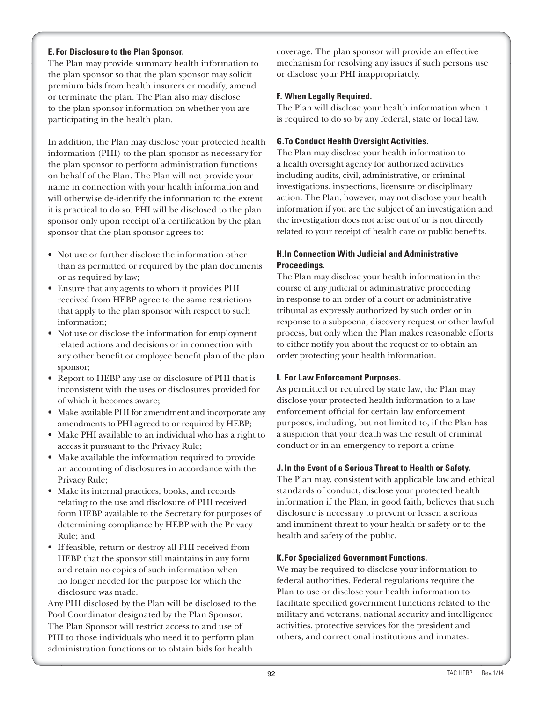## **E. For Disclosure to the Plan Sponsor.**

The Plan may provide summary health information to the plan sponsor so that the plan sponsor may solicit premium bids from health insurers or modify, amend or terminate the plan. The Plan also may disclose to the plan sponsor information on whether you are participating in the health plan.

In addition, the Plan may disclose your protected health information (PHI) to the plan sponsor as necessary for the plan sponsor to perform administration functions on behalf of the Plan. The Plan will not provide your name in connection with your health information and will otherwise de-identify the information to the extent it is practical to do so. PHI will be disclosed to the plan sponsor only upon receipt of a certification by the plan sponsor that the plan sponsor agrees to:

- Not use or further disclose the information other than as permitted or required by the plan documents or as required by law;
- Ensure that any agents to whom it provides PHI received from HEBP agree to the same restrictions that apply to the plan sponsor with respect to such information;
- Not use or disclose the information for employment related actions and decisions or in connection with any other benefit or employee benefit plan of the plan sponsor;
- Report to HEBP any use or disclosure of PHI that is inconsistent with the uses or disclosures provided for of which it becomes aware;
- Make available PHI for amendment and incorporate any amendments to PHI agreed to or required by HEBP;
- Make PHI available to an individual who has a right to access it pursuant to the Privacy Rule;
- Make available the information required to provide an accounting of disclosures in accordance with the Privacy Rule;
- Make its internal practices, books, and records relating to the use and disclosure of PHI received form HEBP available to the Secretary for purposes of determining compliance by HEBP with the Privacy Rule; and
- If feasible, return or destroy all PHI received from HEBP that the sponsor still maintains in any form and retain no copies of such information when no longer needed for the purpose for which the disclosure was made.

Any PHI disclosed by the Plan will be disclosed to the Pool Coordinator designated by the Plan Sponsor. The Plan Sponsor will restrict access to and use of PHI to those individuals who need it to perform plan administration functions or to obtain bids for health

coverage. The plan sponsor will provide an effective mechanism for resolving any issues if such persons use or disclose your PHI inappropriately.

## **F. When Legally Required.**

The Plan will disclose your health information when it is required to do so by any federal, state or local law.

## **G.To Conduct Health Oversight Activities.**

The Plan may disclose your health information to a health oversight agency for authorized activities including audits, civil, administrative, or criminal investigations, inspections, licensure or disciplinary action. The Plan, however, may not disclose your health information if you are the subject of an investigation and the investigation does not arise out of or is not directly related to your receipt of health care or public benefits.

## **H.In Connection With Judicial and Administrative Proceedings.**

The Plan may disclose your health information in the course of any judicial or administrative proceeding in response to an order of a court or administrative tribunal as expressly authorized by such order or in response to a subpoena, discovery request or other lawful process, but only when the Plan makes reasonable efforts to either notify you about the request or to obtain an order protecting your health information.

#### **I. For Law Enforcement Purposes.**

As permitted or required by state law, the Plan may disclose your protected health information to a law enforcement official for certain law enforcement purposes, including, but not limited to, if the Plan has a suspicion that your death was the result of criminal conduct or in an emergency to report a crime.

#### **J. In the Event of a Serious Threat to Health or Safety.**

The Plan may, consistent with applicable law and ethical standards of conduct, disclose your protected health information if the Plan, in good faith, believes that such disclosure is necessary to prevent or lessen a serious and imminent threat to your health or safety or to the health and safety of the public.

#### **K.For Specialized Government Functions.**

We may be required to disclose your information to federal authorities. Federal regulations require the Plan to use or disclose your health information to facilitate specified government functions related to the military and veterans, national security and intelligence activities, protective services for the president and others, and correctional institutions and inmates.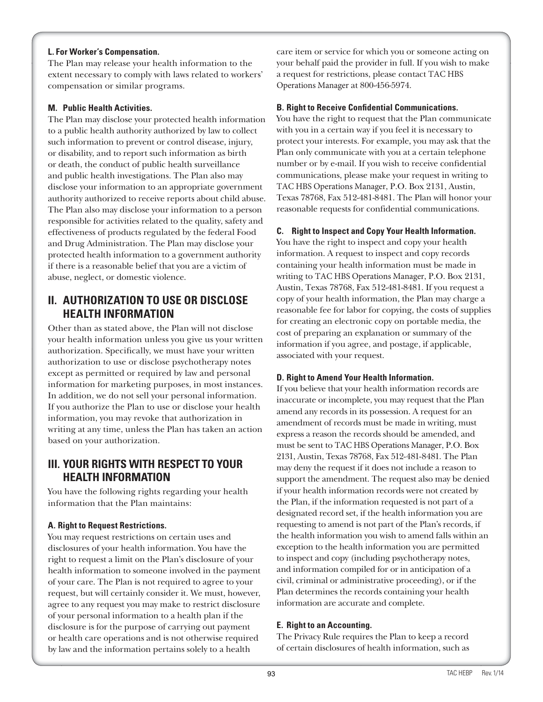#### **L. For Worker's Compensation.**

The Plan may release your health information to the extent necessary to comply with laws related to workers' compensation or similar programs.

#### **M. Public Health Activities.**

The Plan may disclose your protected health information to a public health authority authorized by law to collect such information to prevent or control disease, injury, or disability, and to report such information as birth or death, the conduct of public health surveillance and public health investigations. The Plan also may disclose your information to an appropriate government authority authorized to receive reports about child abuse. The Plan also may disclose your information to a person responsible for activities related to the quality, safety and effectiveness of products regulated by the federal Food and Drug Administration. The Plan may disclose your protected health information to a government authority if there is a reasonable belief that you are a victim of abuse, neglect, or domestic violence.

# **II. AUTHORIZATION TO USE OR DISCLOSE HEALTH INFORMATION**

Other than as stated above, the Plan will not disclose your health information unless you give us your written authorization. Specifically, we must have your written authorization to use or disclose psychotherapy notes except as permitted or required by law and personal information for marketing purposes, in most instances. In addition, we do not sell your personal information. If you authorize the Plan to use or disclose your health information, you may revoke that authorization in writing at any time, unless the Plan has taken an action based on your authorization.

# **III. YOUR RIGHTS WITH RESPECT TO YOUR HEALTH INFORMATION**

You have the following rights regarding your health information that the Plan maintains:

#### **A. Right to Request Restrictions.**

You may request restrictions on certain uses and disclosures of your health information. You have the right to request a limit on the Plan's disclosure of your health information to someone involved in the payment of your care. The Plan is not required to agree to your request, but will certainly consider it. We must, however, agree to any request you may make to restrict disclosure of your personal information to a health plan if the disclosure is for the purpose of carrying out payment or health care operations and is not otherwise required by law and the information pertains solely to a health

care item or service for which you or someone acting on your behalf paid the provider in full. If you wish to make a request for restrictions, please contact TAC HBS Operations Manager at 800-456-5974.

#### **B. Right to Receive Confidential Communications.**

You have the right to request that the Plan communicate with you in a certain way if you feel it is necessary to protect your interests. For example, you may ask that the Plan only communicate with you at a certain telephone number or by e-mail. If you wish to receive confidential communications, please make your request in writing to TAC HBS Operations Manager, P.O. Box 2131, Austin, Texas 78768, Fax 512-481-8481. The Plan will honor your reasonable requests for confidential communications.

#### **C. Right to Inspect and Copy Your Health Information.**

You have the right to inspect and copy your health information. A request to inspect and copy records containing your health information must be made in writing to TAC HBS Operations Manager, P.O. Box 2131, Austin, Texas 78768, Fax 512-481-8481. If you request a copy of your health information, the Plan may charge a reasonable fee for labor for copying, the costs of supplies for creating an electronic copy on portable media, the cost of preparing an explanation or summary of the information if you agree, and postage, if applicable, associated with your request.

#### **D. Right to Amend Your Health Information.**

If you believe that your health information records are inaccurate or incomplete, you may request that the Plan amend any records in its possession. A request for an amendment of records must be made in writing, must express a reason the records should be amended, and must be sent to TAC HBS Operations Manager, P.O. Box 2131, Austin, Texas 78768, Fax 512-481-8481. The Plan may deny the request if it does not include a reason to support the amendment. The request also may be denied if your health information records were not created by the Plan, if the information requested is not part of a designated record set, if the health information you are requesting to amend is not part of the Plan's records, if the health information you wish to amend falls within an exception to the health information you are permitted to inspect and copy (including psychotherapy notes, and information compiled for or in anticipation of a civil, criminal or administrative proceeding), or if the Plan determines the records containing your health information are accurate and complete.

#### **E. Right to an Accounting.**

The Privacy Rule requires the Plan to keep a record of certain disclosures of health information, such as